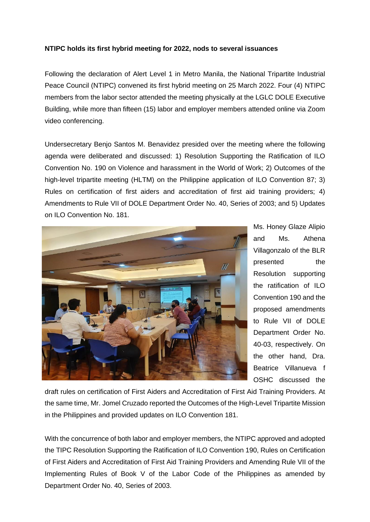## **NTIPC holds its first hybrid meeting for 2022, nods to several issuances**

Following the declaration of Alert Level 1 in Metro Manila, the National Tripartite Industrial Peace Council (NTIPC) convened its first hybrid meeting on 25 March 2022. Four (4) NTIPC members from the labor sector attended the meeting physically at the LGLC DOLE Executive Building, while more than fifteen (15) labor and employer members attended online via Zoom video conferencing.

Undersecretary Benjo Santos M. Benavidez presided over the meeting where the following agenda were deliberated and discussed: 1) Resolution Supporting the Ratification of ILO Convention No. 190 on Violence and harassment in the World of Work; 2) Outcomes of the high-level tripartite meeting (HLTM) on the Philippine application of ILO Convention 87; 3) Rules on certification of first aiders and accreditation of first aid training providers; 4) Amendments to Rule VII of DOLE Department Order No. 40, Series of 2003; and 5) Updates on ILO Convention No. 181.



Ms. Honey Glaze Alipio and Ms. Athena Villagonzalo of the BLR presented the Resolution supporting the ratification of ILO Convention 190 and the proposed amendments to Rule VII of DOLE Department Order No. 40-03, respectively. On the other hand, Dra. Beatrice Villanueva f OSHC discussed the

draft rules on certification of First Aiders and Accreditation of First Aid Training Providers. At the same time, Mr. Jomel Cruzado reported the Outcomes of the High-Level Tripartite Mission in the Philippines and provided updates on ILO Convention 181.

With the concurrence of both labor and employer members, the NTIPC approved and adopted the TIPC Resolution Supporting the Ratification of ILO Convention 190, Rules on Certification of First Aiders and Accreditation of First Aid Training Providers and Amending Rule VII of the Implementing Rules of Book V of the Labor Code of the Philippines as amended by Department Order No. 40, Series of 2003.